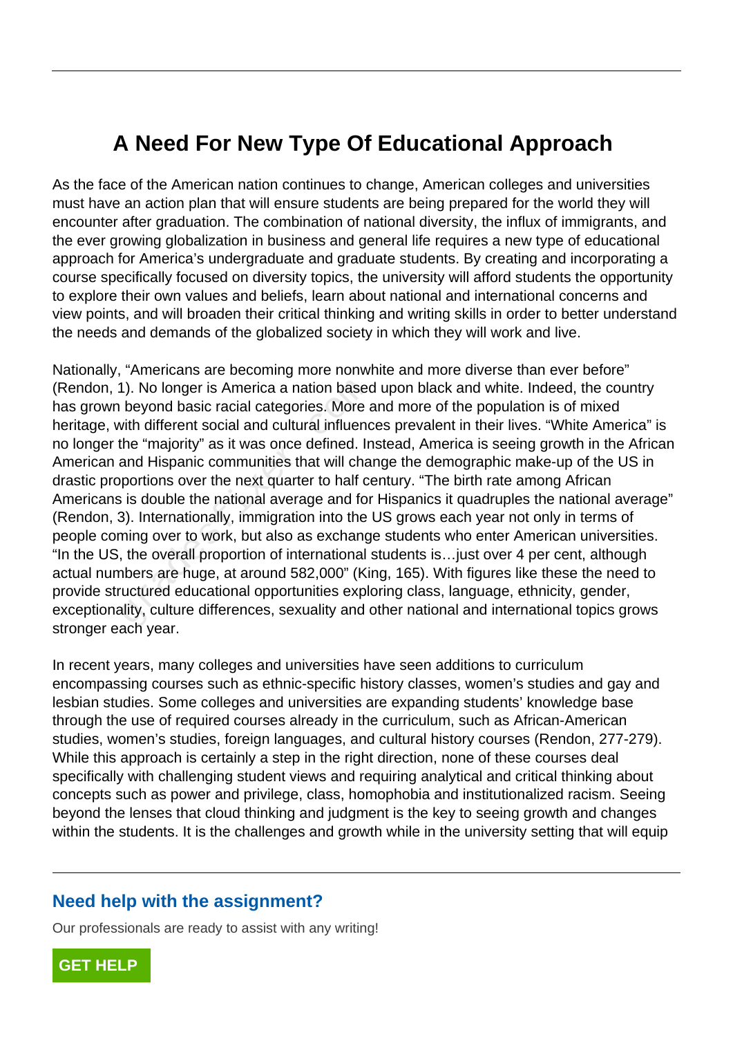# **A Need For New Type Of Educational Approach**

As the face of the American nation continues to change, American colleges and universities must have an action plan that will ensure students are being prepared for the world they will encounter after graduation. The combination of national diversity, the influx of immigrants, and the ever growing globalization in business and general life requires a new type of educational approach for America's undergraduate and graduate students. By creating and incorporating a course specifically focused on diversity topics, the university will afford students the opportunity to explore their own values and beliefs, learn about national and international concerns and view points, and will broaden their critical thinking and writing skills in order to better understand the needs and demands of the globalized society in which they will work and live.

Nationally, "Americans are becoming more nonwhite and more diverse than ever before" (Rendon, 1). No longer is America a nation based upon black and white. Indeed, the country has grown beyond basic racial categories. More and more of the population is of mixed heritage, with different social and cultural influences prevalent in their lives. "White America" is no longer the "majority" as it was once defined. Instead, America is seeing growth in the African American and Hispanic communities that will change the demographic make-up of the US in drastic proportions over the next quarter to half century. "The birth rate among African Americans is double the national average and for Hispanics it quadruples the national average" (Rendon, 3). Internationally, immigration into the US grows each year not only in terms of people coming over to work, but also as exchange students who enter American universities. "In the US, the overall proportion of international students is…just over 4 per cent, although actual numbers are huge, at around 582,000" (King, 165). With figures like these the need to provide structured educational opportunities exploring class, language, ethnicity, gender, exceptionality, culture differences, sexuality and other national and international topics grows stronger each year. 1). No longer is America a nation based<br>beyond basic racial categories. More a<br>with different social and cultural influence<br>the "majority" as it was once defined. Ir<br>and Hispanic communities that will cha<br>portions over the

In recent years, many colleges and universities have seen additions to curriculum encompassing courses such as ethnic-specific history classes, women's studies and gay and lesbian studies. Some colleges and universities are expanding students' knowledge base through the use of required courses already in the curriculum, such as African-American studies, women's studies, foreign languages, and cultural history courses (Rendon, 277-279). While this approach is certainly a step in the right direction, none of these courses deal specifically with challenging student views and requiring analytical and critical thinking about concepts such as power and privilege, class, homophobia and institutionalized racism. Seeing beyond the lenses that cloud thinking and judgment is the key to seeing growth and changes within the students. It is the challenges and growth while in the university setting that will equip

#### **Need help with the assignment?**

Our professionals are ready to assist with any writing!

**[GET HELP](https://my.gradesfixer.com/order?utm_campaign=pdf_sample)**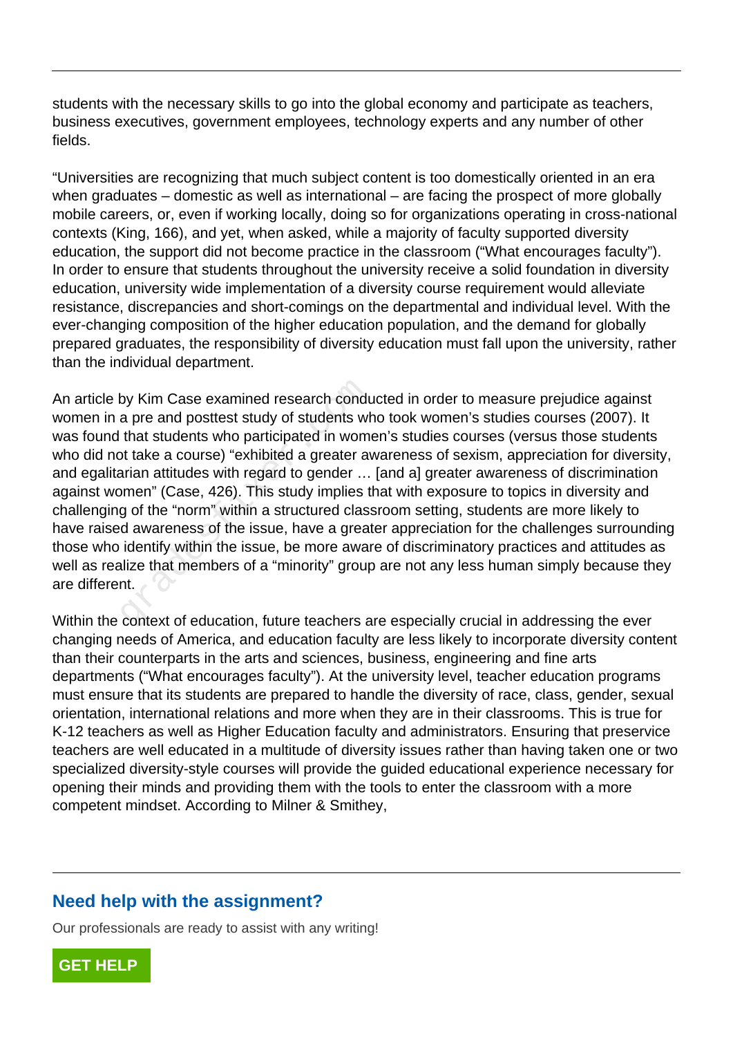students with the necessary skills to go into the global economy and participate as teachers, business executives, government employees, technology experts and any number of other fields.

"Universities are recognizing that much subject content is too domestically oriented in an era when graduates – domestic as well as international – are facing the prospect of more globally mobile careers, or, even if working locally, doing so for organizations operating in cross-national contexts (King, 166), and yet, when asked, while a majority of faculty supported diversity education, the support did not become practice in the classroom ("What encourages faculty"). In order to ensure that students throughout the university receive a solid foundation in diversity education, university wide implementation of a diversity course requirement would alleviate resistance, discrepancies and short-comings on the departmental and individual level. With the ever-changing composition of the higher education population, and the demand for globally prepared graduates, the responsibility of diversity education must fall upon the university, rather than the individual department.

An article by Kim Case examined research conducted in order to measure prejudice against women in a pre and posttest study of students who took women's studies courses (2007). It was found that students who participated in women's studies courses (versus those students who did not take a course) "exhibited a greater awareness of sexism, appreciation for diversity, and egalitarian attitudes with regard to gender … [and a] greater awareness of discrimination against women" (Case, 426). This study implies that with exposure to topics in diversity and challenging of the "norm" within a structured classroom setting, students are more likely to have raised awareness of the issue, have a greater appreciation for the challenges surrounding those who identify within the issue, be more aware of discriminatory practices and attitudes as well as realize that members of a "minority" group are not any less human simply because they are different. by Kim Case examined research condu<br>a pre and posttest study of students wh<br>that students who participated in wom<br>ot take a course) "exhibited a greater av<br>arian attitudes with regard to gender ...<br>omen" (Case, 426). This

Within the context of education, future teachers are especially crucial in addressing the ever changing needs of America, and education faculty are less likely to incorporate diversity content than their counterparts in the arts and sciences, business, engineering and fine arts departments ("What encourages faculty"). At the university level, teacher education programs must ensure that its students are prepared to handle the diversity of race, class, gender, sexual orientation, international relations and more when they are in their classrooms. This is true for K-12 teachers as well as Higher Education faculty and administrators. Ensuring that preservice teachers are well educated in a multitude of diversity issues rather than having taken one or two specialized diversity-style courses will provide the guided educational experience necessary for opening their minds and providing them with the tools to enter the classroom with a more competent mindset. According to Milner & Smithey,

#### **Need help with the assignment?**

Our professionals are ready to assist with any writing!

**[GET HELP](https://my.gradesfixer.com/order?utm_campaign=pdf_sample)**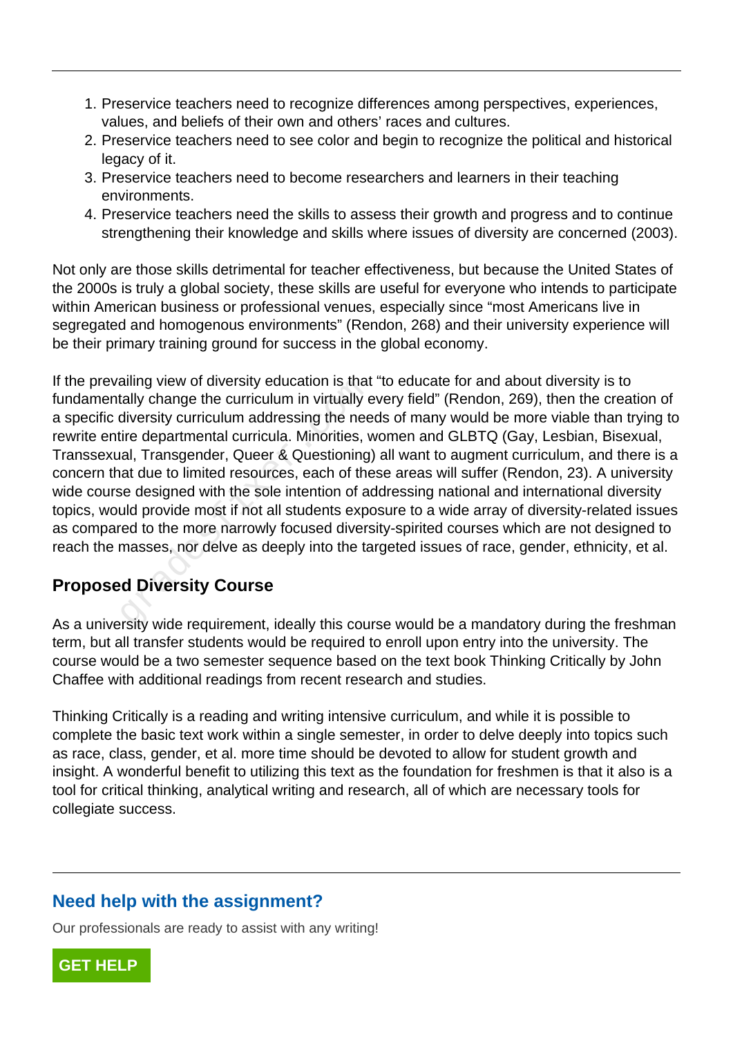- 1. Preservice teachers need to recognize differences among perspectives, experiences, values, and beliefs of their own and others' races and cultures.
- 2. Preservice teachers need to see color and begin to recognize the political and historical legacy of it.
- 3. Preservice teachers need to become researchers and learners in their teaching environments.
- 4. Preservice teachers need the skills to assess their growth and progress and to continue strengthening their knowledge and skills where issues of diversity are concerned (2003).

Not only are those skills detrimental for teacher effectiveness, but because the United States of the 2000s is truly a global society, these skills are useful for everyone who intends to participate within American business or professional venues, especially since "most Americans live in segregated and homogenous environments" (Rendon, 268) and their university experience will be their primary training ground for success in the global economy.

If the prevailing view of diversity education is that "to educate for and about diversity is to fundamentally change the curriculum in virtually every field" (Rendon, 269), then the creation of a specific diversity curriculum addressing the needs of many would be more viable than trying to rewrite entire departmental curricula. Minorities, women and GLBTQ (Gay, Lesbian, Bisexual, Transsexual, Transgender, Queer & Questioning) all want to augment curriculum, and there is a concern that due to limited resources, each of these areas will suffer (Rendon, 23). A university wide course designed with the sole intention of addressing national and international diversity topics, would provide most if not all students exposure to a wide array of diversity-related issues as compared to the more narrowly focused diversity-spirited courses which are not designed to reach the masses, nor delve as deeply into the targeted issues of race, gender, ethnicity, et al. alling view of diversity education is that<br>tally change the curriculum in virtually  $\epsilon$ <br>diversity curriculum addressing the nee<br>tire departmental curricula. Minorities, v<br>al, Transgender, Queer & Questioning<br>at due to lim

## **Proposed Diversity Course**

As a university wide requirement, ideally this course would be a mandatory during the freshman term, but all transfer students would be required to enroll upon entry into the university. The course would be a two semester sequence based on the text book Thinking Critically by John Chaffee with additional readings from recent research and studies.

Thinking Critically is a reading and writing intensive curriculum, and while it is possible to complete the basic text work within a single semester, in order to delve deeply into topics such as race, class, gender, et al. more time should be devoted to allow for student growth and insight. A wonderful benefit to utilizing this text as the foundation for freshmen is that it also is a tool for critical thinking, analytical writing and research, all of which are necessary tools for collegiate success.

# **Need help with the assignment?**

Our professionals are ready to assist with any writing!

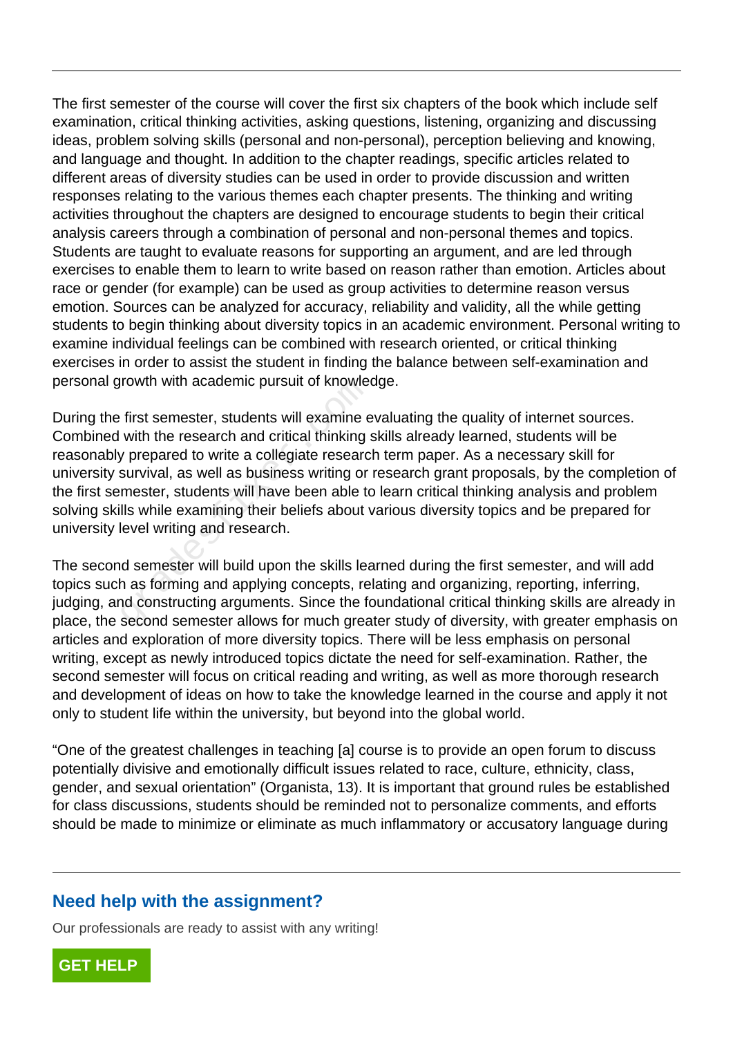The first semester of the course will cover the first six chapters of the book which include self examination, critical thinking activities, asking questions, listening, organizing and discussing ideas, problem solving skills (personal and non-personal), perception believing and knowing, and language and thought. In addition to the chapter readings, specific articles related to different areas of diversity studies can be used in order to provide discussion and written responses relating to the various themes each chapter presents. The thinking and writing activities throughout the chapters are designed to encourage students to begin their critical analysis careers through a combination of personal and non-personal themes and topics. Students are taught to evaluate reasons for supporting an argument, and are led through exercises to enable them to learn to write based on reason rather than emotion. Articles about race or gender (for example) can be used as group activities to determine reason versus emotion. Sources can be analyzed for accuracy, reliability and validity, all the while getting students to begin thinking about diversity topics in an academic environment. Personal writing to examine individual feelings can be combined with research oriented, or critical thinking exercises in order to assist the student in finding the balance between self-examination and personal growth with academic pursuit of knowledge.

During the first semester, students will examine evaluating the quality of internet sources. Combined with the research and critical thinking skills already learned, students will be reasonably prepared to write a collegiate research term paper. As a necessary skill for university survival, as well as business writing or research grant proposals, by the completion of the first semester, students will have been able to learn critical thinking analysis and problem solving skills while examining their beliefs about various diversity topics and be prepared for university level writing and research. Frowth with academic pursuit of knowler<br>first semester, students will examine  $\epsilon$ <br>with the research and critical thinking :<br>y prepared to write a collegiate researc<br>survival, as well as business writing or<br>mester, student

The second semester will build upon the skills learned during the first semester, and will add topics such as forming and applying concepts, relating and organizing, reporting, inferring, judging, and constructing arguments. Since the foundational critical thinking skills are already in place, the second semester allows for much greater study of diversity, with greater emphasis on articles and exploration of more diversity topics. There will be less emphasis on personal writing, except as newly introduced topics dictate the need for self-examination. Rather, the second semester will focus on critical reading and writing, as well as more thorough research and development of ideas on how to take the knowledge learned in the course and apply it not only to student life within the university, but beyond into the global world.

"One of the greatest challenges in teaching [a] course is to provide an open forum to discuss potentially divisive and emotionally difficult issues related to race, culture, ethnicity, class, gender, and sexual orientation" (Organista, 13). It is important that ground rules be established for class discussions, students should be reminded not to personalize comments, and efforts should be made to minimize or eliminate as much inflammatory or accusatory language during

## **Need help with the assignment?**

Our professionals are ready to assist with any writing!